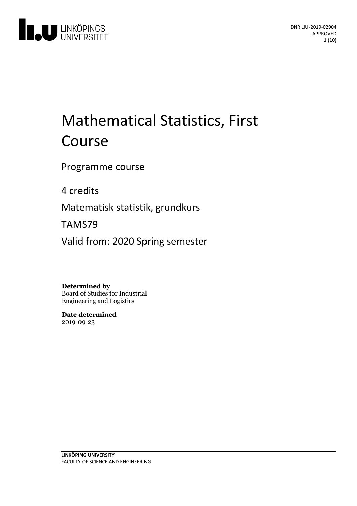

# Mathematical Statistics, First Course

Programme course

4 credits

Matematisk statistik,grundkurs

TAMS79

Valid from: 2020 Spring semester

**Determined by**

Board of Studies for Industrial Engineering and Logistics

**Date determined** 2019-09-23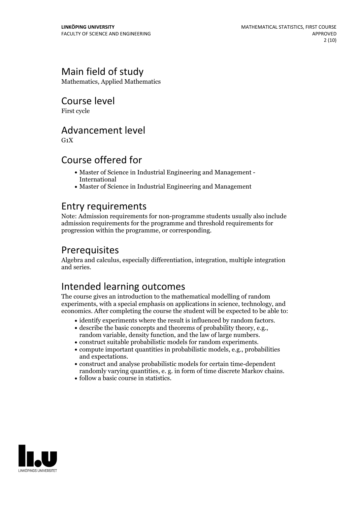# Main field of study

Mathematics, Applied Mathematics

### Course level

First cycle

### Advancement level

 $G_1X$ 

## Course offered for

- Master of Science in Industrial Engineering and Management International
- Master of Science in Industrial Engineering and Management

### Entry requirements

Note: Admission requirements for non-programme students usually also include admission requirements for the programme and threshold requirements for progression within the programme, or corresponding.

# **Prerequisites**

Algebra and calculus, especially differentiation, integration, multiple integration and series.

# Intended learning outcomes

The course gives an introduction to the mathematical modelling of random experiments, with a special emphasis on applications in science, technology, and economics. After completing the course the student will be expected to be able to:

- 
- <ul>\n<li> identify experiments where the result is influenced by random factors.</li>\n<li> describe the basic concepts and theorems of probability theory, e.g., random variable, density function, and the law of large numbers.</li>\n<li> construct suitable probabilistic models for random experiments.</li>\n<li> compute important quantities in probabilistic models, e.g., probabilities</li>\n</ul>
- 
- and expectations.<br>• construct and analyse probabilistic models for certain time-dependent
- randomly varying quantities, e. g. in form of time discrete Markov chains. follow <sup>a</sup> basic course in statistics.
- 

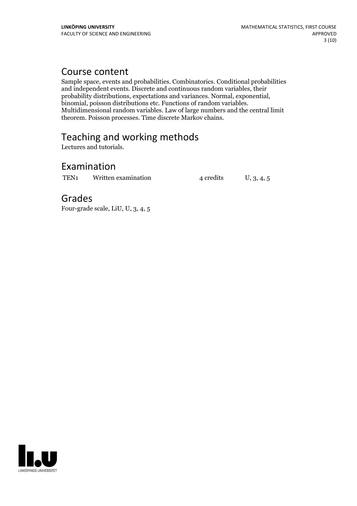### Course content

Sample space, events and probabilities. Combinatorics. Conditional probabilities and independent events. Discrete and continuous random variables, their probability distributions, expectations and variances. Normal, exponential, binomial, poisson distributions etc. Functions of random variables.<br>Multidimensional random variables. Law of large numbers and the central limit theorem. Poisson processes. Time discrete Markov chains.

# Teaching and working methods

Lectures and tutorials.

## Examination

TEN1 Written examination  $4$  credits  $U$ , 3, 4, 5

Grades

Four-grade scale, LiU, U, 3, 4, 5

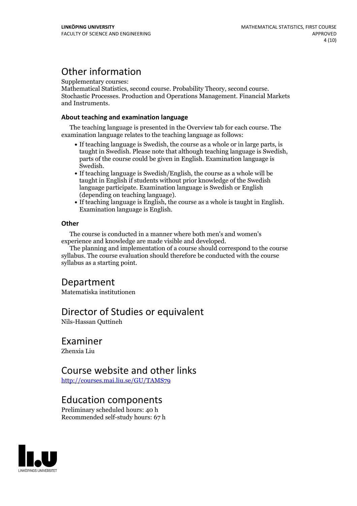# Other information

Supplementary courses:

Mathematical Statistics, second course. Probability Theory, second course. Stochastic Processes. Production and Operations Management. Financial Markets and Instruments.

#### **About teaching and examination language**

The teaching language is presented in the Overview tab for each course. The examination language relates to the teaching language as follows:

- If teaching language is Swedish, the course as a whole or in large parts, is taught in Swedish. Please note that although teaching language is Swedish, parts of the course could be given in English. Examination language is
- Swedish.<br>• If teaching language is Swedish/English, the course as a whole will be taught in English if students without prior knowledge of the Swedish language participate. Examination language is Swedish or English
- $\bullet$  If teaching language is English, the course as a whole is taught in English. Examination language is English.

#### **Other**

The course is conducted in a manner where both men's and women's

experience and knowledge are made visible and developed. The planning and implementation of <sup>a</sup> course should correspond to the course syllabus. The course evaluation should therefore be conducted with the course syllabus as a starting point.

# Department

Matematiska institutionen

### Director of Studies or equivalent

Nils-Hassan Quttineh

### Examiner

Zhenxia Liu

### Course website and other links

<http://courses.mai.liu.se/GU/TAMS79>

### Education components

Preliminary scheduled hours: 40 h Recommended self-study hours: 67 h

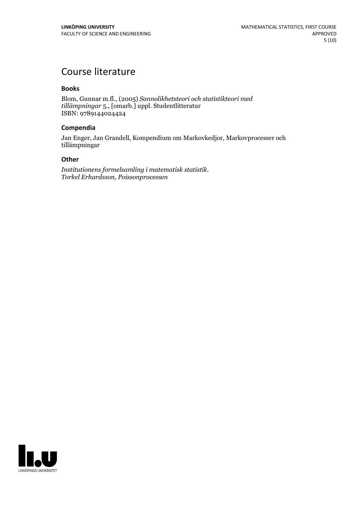# Course literature

#### **Books**

Blom, Gunnar m.fl., (2005) *Sannolikhetsteori och statistikteori med tillämpningar* 5., [omarb.] uppl. Studentlitteratur ISBN: 9789144024424

#### **Compendia**

Jan Enger, Jan Grandell, Kompendium om Markovkedjor, Markovprocesser och tillämpningar

#### **Other**

*Institutionens formelsamling <sup>i</sup> matematisk statistik. Torkel Erhardsson, Poissonprocessen*

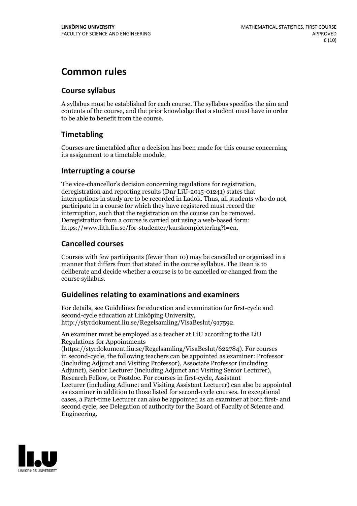# **Common rules**

### **Course syllabus**

A syllabus must be established for each course. The syllabus specifies the aim and contents of the course, and the prior knowledge that a student must have in order to be able to benefit from the course.

### **Timetabling**

Courses are timetabled after a decision has been made for this course concerning its assignment to a timetable module.

### **Interrupting a course**

The vice-chancellor's decision concerning regulations for registration, deregistration and reporting results (Dnr LiU-2015-01241) states that interruptions in study are to be recorded in Ladok. Thus, all students who do not participate in a course for which they have registered must record the interruption, such that the registration on the course can be removed. Deregistration from <sup>a</sup> course is carried outusing <sup>a</sup> web-based form: https://www.lith.liu.se/for-studenter/kurskomplettering?l=en.

### **Cancelled courses**

Courses with few participants (fewer than 10) may be cancelled or organised in a manner that differs from that stated in the course syllabus. The Dean is to deliberate and decide whether a course is to be cancelled or changed from the course syllabus.

### **Guidelines relatingto examinations and examiners**

For details, see Guidelines for education and examination for first-cycle and second-cycle education at Linköping University, http://styrdokument.liu.se/Regelsamling/VisaBeslut/917592.

An examiner must be employed as a teacher at LiU according to the LiU Regulations for Appointments

(https://styrdokument.liu.se/Regelsamling/VisaBeslut/622784). For courses in second-cycle, the following teachers can be appointed as examiner: Professor (including Adjunct and Visiting Professor), Associate Professor (including Adjunct), Senior Lecturer (including Adjunct and Visiting Senior Lecturer), Research Fellow, or Postdoc. For courses in first-cycle, Assistant Lecturer (including Adjunct and Visiting Assistant Lecturer) can also be appointed as examiner in addition to those listed for second-cycle courses. In exceptional cases, a Part-time Lecturer can also be appointed as an examiner at both first- and second cycle, see Delegation of authority for the Board of Faculty of Science and Engineering.

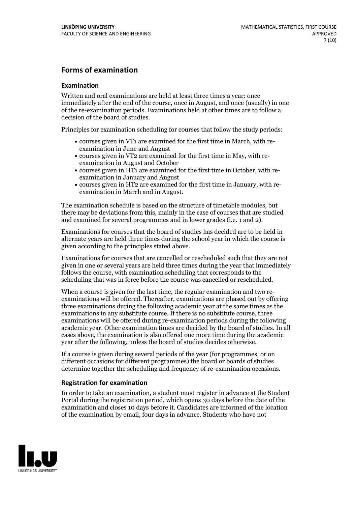### **Forms of examination**

#### **Examination**

Written and oral examinations are held at least three times a year: once immediately after the end of the course, once in August, and once (usually) in one of the re-examination periods. Examinations held at other times are to follow a decision of the board of studies.

Principles for examination scheduling for courses that follow the study periods:

- courses given in VT1 are examined for the first time in March, with re-examination in June and August
- courses given in VT2 are examined for the first time in May, with re-examination in August and October
- courses given in HT1 are examined for the first time in October, with re-examination in January and August
- courses given in HT2 are examined for the first time in January, with re-examination in March and in August.

The examination schedule is based on the structure of timetable modules, but there may be deviations from this, mainly in the case of courses that are studied and examined for several programmes and in lower grades (i.e. 1 and 2).

Examinations for courses that the board of studies has decided are to be held in alternate years are held three times during the school year in which the course is given according to the principles stated above.

Examinations for courses that are cancelled orrescheduled such that they are not given in one or several years are held three times during the year that immediately follows the course, with examination scheduling that corresponds to the scheduling that was in force before the course was cancelled or rescheduled.

When a course is given for the last time, the regular examination and two re-<br>examinations will be offered. Thereafter, examinations are phased out by offering three examinations during the following academic year at the same times as the examinations in any substitute course. If there is no substitute course, three examinations will be offered during re-examination periods during the following academic year. Other examination times are decided by the board of studies. In all cases above, the examination is also offered one more time during the academic year after the following, unless the board of studies decides otherwise.

If a course is given during several periods of the year (for programmes, or on different occasions for different programmes) the board or boards of studies determine together the scheduling and frequency of re-examination occasions.

#### **Registration for examination**

In order to take an examination, a student must register in advance at the Student Portal during the registration period, which opens 30 days before the date of the examination and closes 10 days before it. Candidates are informed of the location of the examination by email, four days in advance. Students who have not

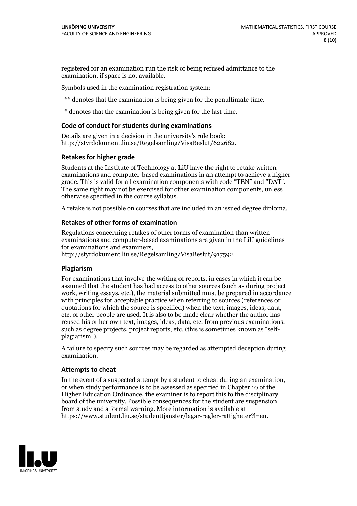registered for an examination run the risk of being refused admittance to the examination, if space is not available.

Symbols used in the examination registration system:

\*\* denotes that the examination is being given for the penultimate time.

\* denotes that the examination is being given for the last time.

#### **Code of conduct for students during examinations**

Details are given in a decision in the university's rule book: http://styrdokument.liu.se/Regelsamling/VisaBeslut/622682.

#### **Retakes for higher grade**

Students at the Institute of Technology at LiU have the right to retake written examinations and computer-based examinations in an attempt to achieve a higher grade. This is valid for all examination components with code "TEN" and "DAT". The same right may not be exercised for other examination components, unless otherwise specified in the course syllabus.

A retake is not possible on courses that are included in an issued degree diploma.

#### **Retakes of other forms of examination**

Regulations concerning retakes of other forms of examination than written examinations and computer-based examinations are given in the LiU guidelines

http://styrdokument.liu.se/Regelsamling/VisaBeslut/917592.

#### **Plagiarism**

For examinations that involve the writing of reports, in cases in which it can be assumed that the student has had access to other sources (such as during project work, writing essays, etc.), the material submitted must be prepared in accordance with principles for acceptable practice when referring to sources (references or quotations for which the source is specified) when the text, images, ideas, data,  $\vec{e}$  etc. of other people are used. It is also to be made clear whether the author has reused his or her own text, images, ideas, data, etc. from previous examinations, such as degree projects, project reports, etc. (this is sometimes known as "self- plagiarism").

A failure to specify such sources may be regarded as attempted deception during examination.

#### **Attempts to cheat**

In the event of <sup>a</sup> suspected attempt by <sup>a</sup> student to cheat during an examination, or when study performance is to be assessed as specified in Chapter <sup>10</sup> of the Higher Education Ordinance, the examiner is to report this to the disciplinary board of the university. Possible consequences for the student are suspension from study and a formal warning. More information is available at https://www.student.liu.se/studenttjanster/lagar-regler-rattigheter?l=en.

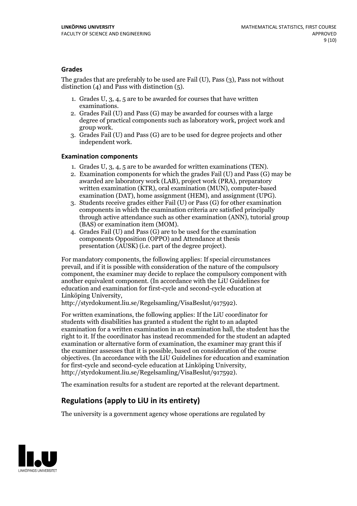#### **Grades**

The grades that are preferably to be used are Fail (U), Pass (3), Pass not without distinction  $(4)$  and Pass with distinction  $(5)$ .

- 1. Grades U, 3, 4, 5 are to be awarded for courses that have written
- examinations. 2. Grades Fail (U) and Pass (G) may be awarded for courses with <sup>a</sup> large degree of practical components such as laboratory work, project work and group work. 3. Grades Fail (U) and Pass (G) are to be used for degree projects and other
- independent work.

#### **Examination components**

- 
- 1. Grades U, 3, 4, <sup>5</sup> are to be awarded for written examinations (TEN). 2. Examination components for which the grades Fail (U) and Pass (G) may be awarded are laboratory work (LAB), project work (PRA), preparatory written examination (KTR), oral examination (MUN), computer-based
- examination (DAT), home assignment (HEM), and assignment (UPG). 3. Students receive grades either Fail (U) or Pass (G) for other examination components in which the examination criteria are satisfied principally through active attendance such as other examination (ANN), tutorial group
- (BAS) or examination item (MOM). 4. Grades Fail (U) and Pass (G) are to be used for the examination components Opposition (OPPO) and Attendance at thesis presentation (AUSK) (i.e. part of the degree project).

For mandatory components, the following applies: If special circumstances prevail, and if it is possible with consideration of the nature of the compulsory component, the examiner may decide to replace the compulsory component with another equivalent component. (In accordance with the LiU Guidelines for education and examination for first-cycle and second-cycle education at Linköping University, http://styrdokument.liu.se/Regelsamling/VisaBeslut/917592).

For written examinations, the following applies: If the LiU coordinator for students with disabilities has granted a student the right to an adapted examination for a written examination in an examination hall, the student has the right to it. If the coordinator has instead recommended for the student an adapted examination or alternative form of examination, the examiner may grant this if the examiner assesses that it is possible, based on consideration of the course objectives. (In accordance with the LiU Guidelines for education and examination for first-cycle and second-cycle education at Linköping University, http://styrdokument.liu.se/Regelsamling/VisaBeslut/917592).

The examination results for a student are reported at the relevant department.

### **Regulations (applyto LiU in its entirety)**

The university is a government agency whose operations are regulated by